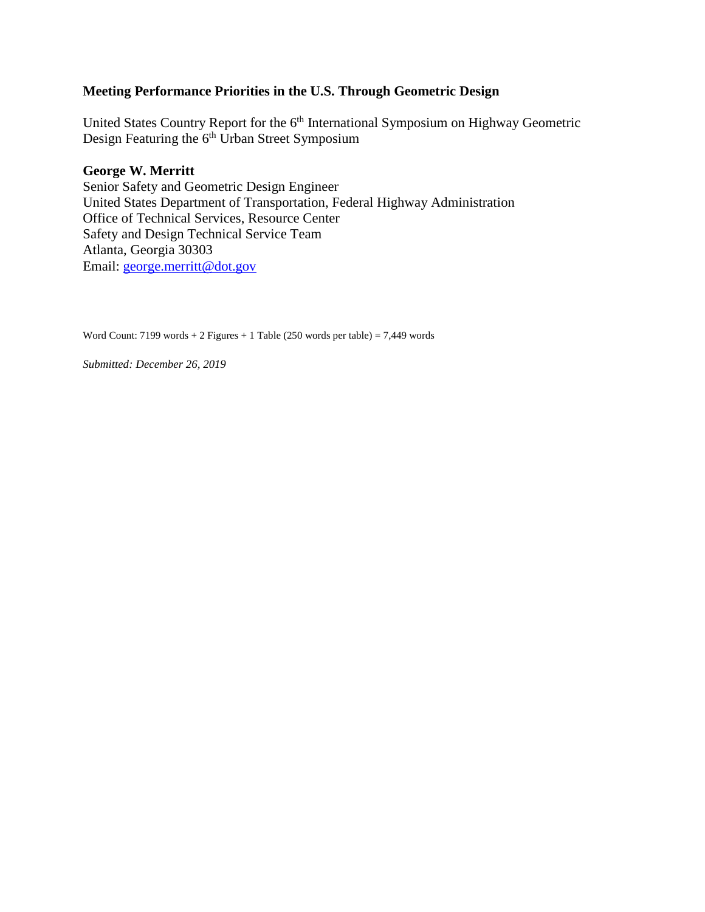# **Meeting Performance Priorities in the U.S. Through Geometric Design**

United States Country Report for the 6<sup>th</sup> International Symposium on Highway Geometric Design Featuring the 6<sup>th</sup> Urban Street Symposium

## **George W. Merritt**

Senior Safety and Geometric Design Engineer United States Department of Transportation, Federal Highway Administration Office of Technical Services, Resource Center Safety and Design Technical Service Team Atlanta, Georgia 30303 Email: [george.merritt@dot.gov](mailto:george.merritt@dot.gov)

Word Count: 7199 words + 2 Figures + 1 Table (250 words per table) = 7,449 words

*Submitted: December 26, 2019*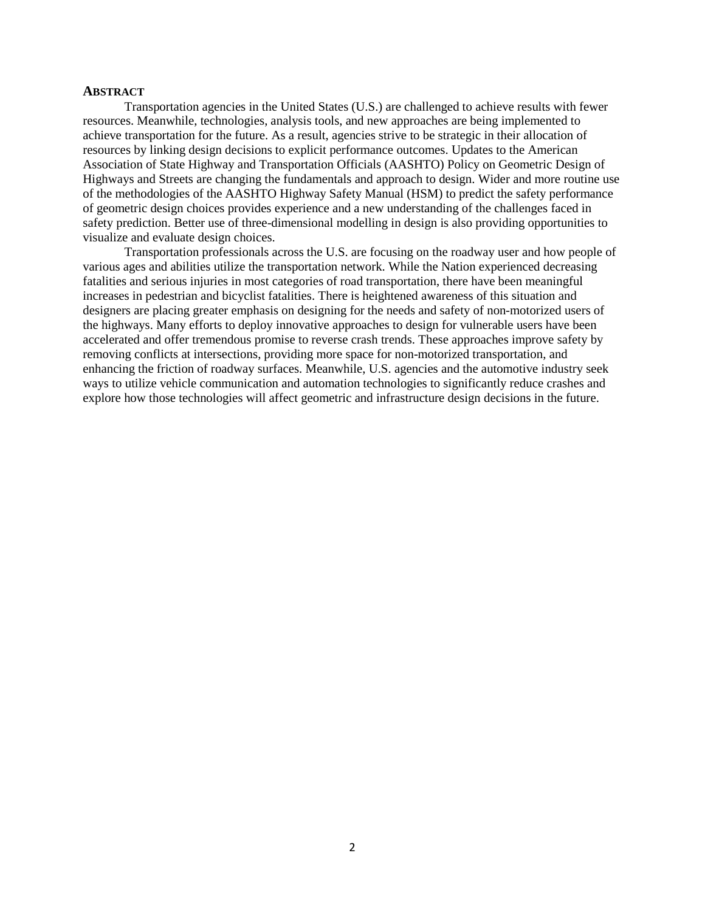#### **ABSTRACT**

Transportation agencies in the United States (U.S.) are challenged to achieve results with fewer resources. Meanwhile, technologies, analysis tools, and new approaches are being implemented to achieve transportation for the future. As a result, agencies strive to be strategic in their allocation of resources by linking design decisions to explicit performance outcomes. Updates to the American Association of State Highway and Transportation Officials (AASHTO) Policy on Geometric Design of Highways and Streets are changing the fundamentals and approach to design. Wider and more routine use of the methodologies of the AASHTO Highway Safety Manual (HSM) to predict the safety performance of geometric design choices provides experience and a new understanding of the challenges faced in safety prediction. Better use of three-dimensional modelling in design is also providing opportunities to visualize and evaluate design choices.

Transportation professionals across the U.S. are focusing on the roadway user and how people of various ages and abilities utilize the transportation network. While the Nation experienced decreasing fatalities and serious injuries in most categories of road transportation, there have been meaningful increases in pedestrian and bicyclist fatalities. There is heightened awareness of this situation and designers are placing greater emphasis on designing for the needs and safety of non-motorized users of the highways. Many efforts to deploy innovative approaches to design for vulnerable users have been accelerated and offer tremendous promise to reverse crash trends. These approaches improve safety by removing conflicts at intersections, providing more space for non-motorized transportation, and enhancing the friction of roadway surfaces. Meanwhile, U.S. agencies and the automotive industry seek ways to utilize vehicle communication and automation technologies to significantly reduce crashes and explore how those technologies will affect geometric and infrastructure design decisions in the future.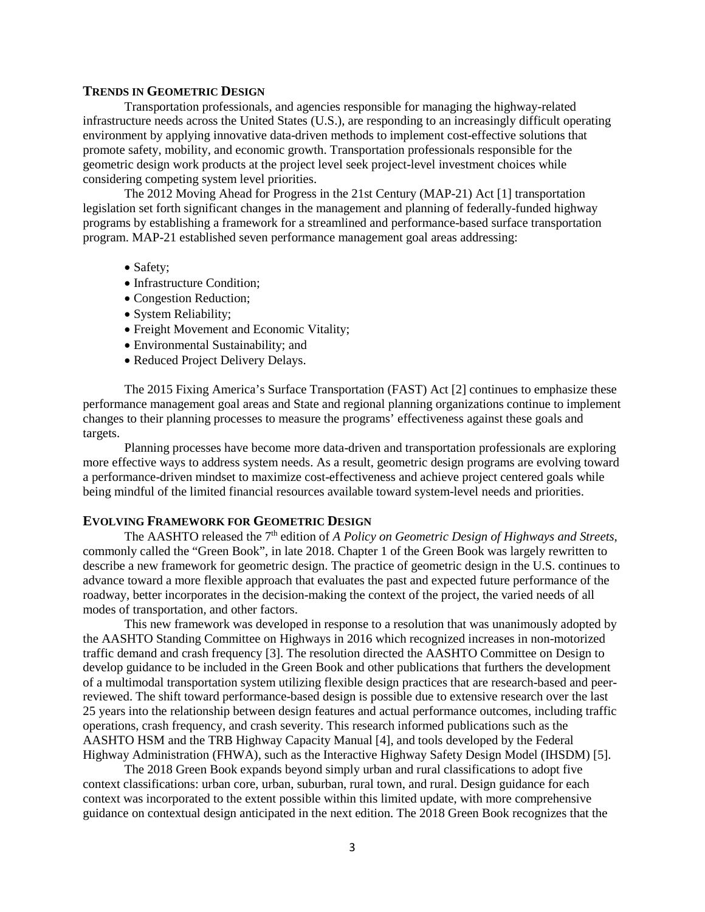#### **TRENDS IN GEOMETRIC DESIGN**

Transportation professionals, and agencies responsible for managing the highway-related infrastructure needs across the United States (U.S.), are responding to an increasingly difficult operating environment by applying innovative data-driven methods to implement cost-effective solutions that promote safety, mobility, and economic growth. Transportation professionals responsible for the geometric design work products at the project level seek project-level investment choices while considering competing system level priorities.

The 2012 Moving Ahead for Progress in the 21st Century (MAP-21) Act [1] transportation legislation set forth significant changes in the management and planning of federally-funded highway programs by establishing a framework for a streamlined and performance-based surface transportation program. MAP-21 established seven performance management goal areas addressing:

- Safety:
- Infrastructure Condition;
- Congestion Reduction;
- System Reliability;
- Freight Movement and Economic Vitality;
- Environmental Sustainability; and
- Reduced Project Delivery Delays.

The 2015 Fixing America's Surface Transportation (FAST) Act [2] continues to emphasize these performance management goal areas and State and regional planning organizations continue to implement changes to their planning processes to measure the programs' effectiveness against these goals and targets.

Planning processes have become more data-driven and transportation professionals are exploring more effective ways to address system needs. As a result, geometric design programs are evolving toward a performance-driven mindset to maximize cost-effectiveness and achieve project centered goals while being mindful of the limited financial resources available toward system-level needs and priorities.

### **EVOLVING FRAMEWORK FOR GEOMETRIC DESIGN**

The AASHTO released the 7<sup>th</sup> edition of *A Policy on Geometric Design of Highways and Streets*, commonly called the "Green Book", in late 2018. Chapter 1 of the Green Book was largely rewritten to describe a new framework for geometric design. The practice of geometric design in the U.S. continues to advance toward a more flexible approach that evaluates the past and expected future performance of the roadway, better incorporates in the decision-making the context of the project, the varied needs of all modes of transportation, and other factors.

This new framework was developed in response to a resolution that was unanimously adopted by the AASHTO Standing Committee on Highways in 2016 which recognized increases in non-motorized traffic demand and crash frequency [3]. The resolution directed the AASHTO Committee on Design to develop guidance to be included in the Green Book and other publications that furthers the development of a multimodal transportation system utilizing flexible design practices that are research-based and peerreviewed. The shift toward performance-based design is possible due to extensive research over the last 25 years into the relationship between design features and actual performance outcomes, including traffic operations, crash frequency, and crash severity. This research informed publications such as the AASHTO HSM and the TRB Highway Capacity Manual [4], and tools developed by the Federal Highway Administration (FHWA), such as the Interactive Highway Safety Design Model (IHSDM) [5].

The 2018 Green Book expands beyond simply urban and rural classifications to adopt five context classifications: urban core, urban, suburban, rural town, and rural. Design guidance for each context was incorporated to the extent possible within this limited update, with more comprehensive guidance on contextual design anticipated in the next edition. The 2018 Green Book recognizes that the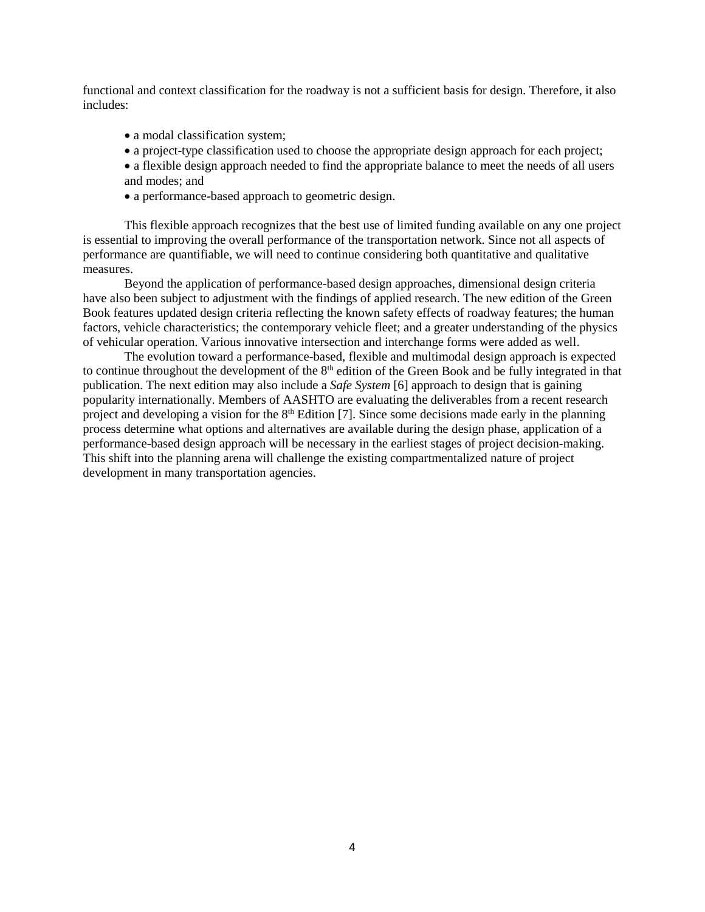functional and context classification for the roadway is not a sufficient basis for design. Therefore, it also includes:

- a modal classification system;
- a project-type classification used to choose the appropriate design approach for each project;
- a flexible design approach needed to find the appropriate balance to meet the needs of all users and modes; and
- a performance-based approach to geometric design.

This flexible approach recognizes that the best use of limited funding available on any one project is essential to improving the overall performance of the transportation network. Since not all aspects of performance are quantifiable, we will need to continue considering both quantitative and qualitative measures.

Beyond the application of performance-based design approaches, dimensional design criteria have also been subject to adjustment with the findings of applied research. The new edition of the Green Book features updated design criteria reflecting the known safety effects of roadway features; the human factors, vehicle characteristics; the contemporary vehicle fleet; and a greater understanding of the physics of vehicular operation. Various innovative intersection and interchange forms were added as well.

The evolution toward a performance-based, flexible and multimodal design approach is expected to continue throughout the development of the  $8<sup>th</sup>$  edition of the Green Book and be fully integrated in that publication. The next edition may also include a *Safe System* [6] approach to design that is gaining popularity internationally. Members of AASHTO are evaluating the deliverables from a recent research project and developing a vision for the  $8<sup>th</sup>$  Edition [7]. Since some decisions made early in the planning process determine what options and alternatives are available during the design phase, application of a performance-based design approach will be necessary in the earliest stages of project decision-making. This shift into the planning arena will challenge the existing compartmentalized nature of project development in many transportation agencies.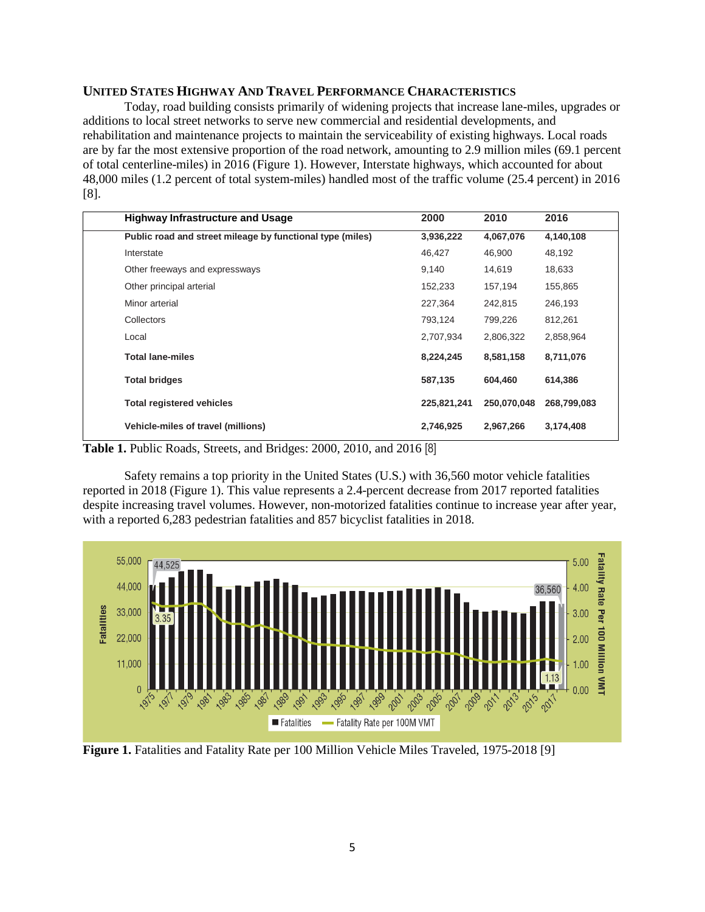## **UNITED STATES HIGHWAY AND TRAVEL PERFORMANCE CHARACTERISTICS**

Today, road building consists primarily of widening projects that increase lane-miles, upgrades or additions to local street networks to serve new commercial and residential developments, and rehabilitation and maintenance projects to maintain the serviceability of existing highways. Local roads are by far the most extensive proportion of the road network, amounting to 2.9 million miles (69.1 percent of total centerline-miles) in 2016 (Figure 1). However, Interstate highways, which accounted for about 48,000 miles (1.2 percent of total system-miles) handled most of the traffic volume (25.4 percent) in 2016 [8].

| <b>Highway Infrastructure and Usage</b>                   | 2000        | 2010        | 2016        |
|-----------------------------------------------------------|-------------|-------------|-------------|
| Public road and street mileage by functional type (miles) | 3,936,222   | 4,067,076   | 4,140,108   |
| Interstate                                                | 46,427      | 46,900      | 48,192      |
| Other freeways and expressways                            | 9,140       | 14,619      | 18,633      |
| Other principal arterial                                  | 152,233     | 157,194     | 155,865     |
| Minor arterial                                            | 227,364     | 242,815     | 246,193     |
| Collectors                                                | 793,124     | 799,226     | 812,261     |
| Local                                                     | 2,707,934   | 2,806,322   | 2,858,964   |
| <b>Total lane-miles</b>                                   | 8,224,245   | 8,581,158   | 8,711,076   |
| <b>Total bridges</b>                                      | 587,135     | 604.460     | 614.386     |
| <b>Total registered vehicles</b>                          | 225,821,241 | 250,070,048 | 268,799,083 |
| <b>Vehicle-miles of travel (millions)</b>                 | 2,746,925   | 2,967,266   | 3,174,408   |

**Table 1.** Public Roads, Streets, and Bridges: 2000, 2010, and 2016 [8]

Safety remains a top priority in the United States (U.S.) with 36,560 motor vehicle fatalities reported in 2018 (Figure 1). This value represents a 2.4-percent decrease from 2017 reported fatalities despite increasing travel volumes. However, non-motorized fatalities continue to increase year after year, with a reported 6,283 pedestrian fatalities and 857 bicyclist fatalities in 2018.



Figure 1. Fatalities and Fatality Rate per 100 Million Vehicle Miles Traveled, 1975-2018 [9]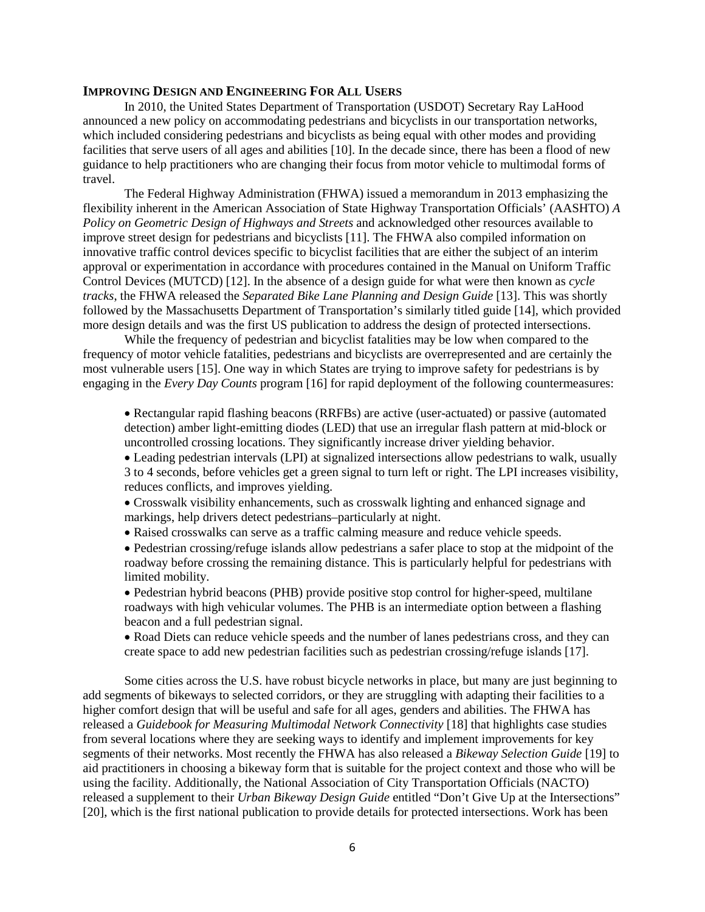#### **IMPROVING DESIGN AND ENGINEERING FOR ALL USERS**

In 2010, the United States Department of Transportation (USDOT) Secretary Ray LaHood announced a new policy on accommodating pedestrians and bicyclists in our transportation networks, which included considering pedestrians and bicyclists as being equal with other modes and providing facilities that serve users of all ages and abilities [10]. In the decade since, there has been a flood of new guidance to help practitioners who are changing their focus from motor vehicle to multimodal forms of travel.

The Federal Highway Administration (FHWA) issued a memorandum in 2013 emphasizing the flexibility inherent in the American Association of State Highway Transportation Officials' (AASHTO) *A Policy on Geometric Design of Highways and Streets* and acknowledged other resources available to improve street design for pedestrians and bicyclists [11]. The FHWA also compiled information on innovative traffic control devices specific to bicyclist facilities that are either the subject of an interim approval or experimentation in accordance with procedures contained in the Manual on Uniform Traffic Control Devices (MUTCD) [12]. In the absence of a design guide for what were then known as *cycle tracks*, the FHWA released the *Separated Bike Lane Planning and Design Guide* [13]. This was shortly followed by the Massachusetts Department of Transportation's similarly titled guide [14], which provided more design details and was the first US publication to address the design of protected intersections.

While the frequency of pedestrian and bicyclist fatalities may be low when compared to the frequency of motor vehicle fatalities, pedestrians and bicyclists are overrepresented and are certainly the most vulnerable users [15]. One way in which States are trying to improve safety for pedestrians is by engaging in the *Every Day Counts* program [16] for rapid deployment of the following countermeasures:

• Rectangular rapid flashing beacons (RRFBs) are active (user-actuated) or passive (automated detection) amber light-emitting diodes (LED) that use an irregular flash pattern at mid-block or uncontrolled crossing locations. They significantly increase driver yielding behavior.

• Leading pedestrian intervals (LPI) at signalized intersections allow pedestrians to walk, usually 3 to 4 seconds, before vehicles get a green signal to turn left or right. The LPI increases visibility, reduces conflicts, and improves yielding.

• Crosswalk visibility enhancements, such as crosswalk lighting and enhanced signage and markings, help drivers detect pedestrians–particularly at night.

• Raised crosswalks can serve as a traffic calming measure and reduce vehicle speeds.

• Pedestrian crossing/refuge islands allow pedestrians a safer place to stop at the midpoint of the roadway before crossing the remaining distance. This is particularly helpful for pedestrians with limited mobility.

• Pedestrian hybrid beacons (PHB) provide positive stop control for higher-speed, multilane roadways with high vehicular volumes. The PHB is an intermediate option between a flashing beacon and a full pedestrian signal.

• Road Diets can reduce vehicle speeds and the number of lanes pedestrians cross, and they can create space to add new pedestrian facilities such as pedestrian crossing/refuge islands [17].

Some cities across the U.S. have robust bicycle networks in place, but many are just beginning to add segments of bikeways to selected corridors, or they are struggling with adapting their facilities to a higher comfort design that will be useful and safe for all ages, genders and abilities. The FHWA has released a *Guidebook for Measuring Multimodal Network Connectivity* [18] that highlights case studies from several locations where they are seeking ways to identify and implement improvements for key segments of their networks. Most recently the FHWA has also released a *Bikeway Selection Guide* [19] to aid practitioners in choosing a bikeway form that is suitable for the project context and those who will be using the facility. Additionally, the National Association of City Transportation Officials (NACTO) released a supplement to their *Urban Bikeway Design Guide* entitled "Don't Give Up at the Intersections" [20], which is the first national publication to provide details for protected intersections. Work has been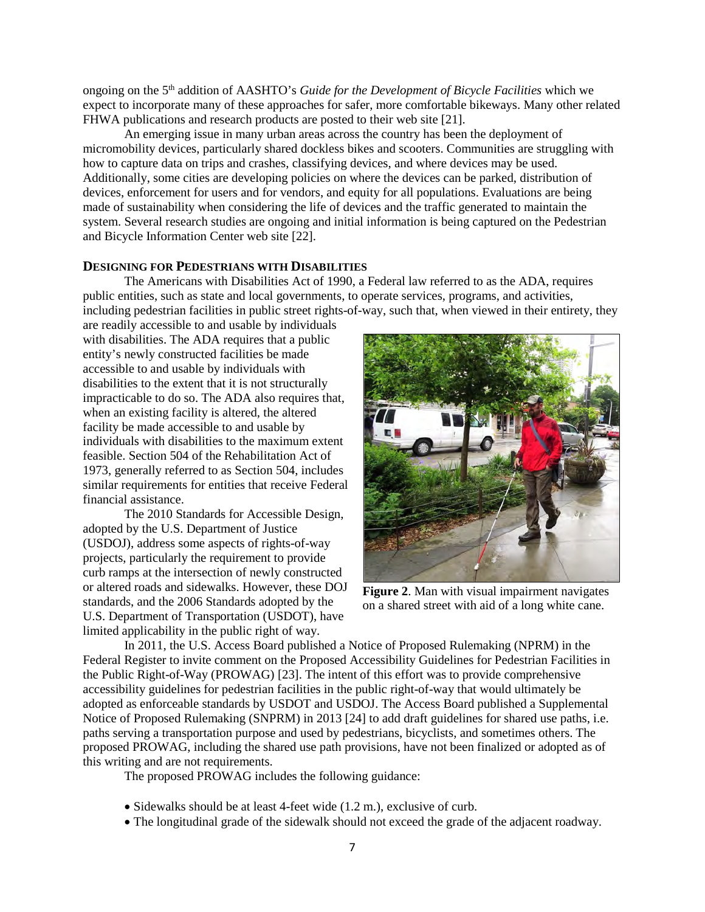ongoing on the 5th addition of AASHTO's *Guide for the Development of Bicycle Facilities* which we expect to incorporate many of these approaches for safer, more comfortable bikeways. Many other related FHWA publications and research products are posted to their web site [21].

An emerging issue in many urban areas across the country has been the deployment of micromobility devices, particularly shared dockless bikes and scooters. Communities are struggling with how to capture data on trips and crashes, classifying devices, and where devices may be used. Additionally, some cities are developing policies on where the devices can be parked, distribution of devices, enforcement for users and for vendors, and equity for all populations. Evaluations are being made of sustainability when considering the life of devices and the traffic generated to maintain the system. Several research studies are ongoing and initial information is being captured on the Pedestrian and Bicycle Information Center web site [22].

## **DESIGNING FOR PEDESTRIANS WITH DISABILITIES**

The Americans with Disabilities Act of 1990, a Federal law referred to as the ADA, requires public entities, such as state and local governments, to operate services, programs, and activities, including pedestrian facilities in public street rights-of-way, such that, when viewed in their entirety, they

are readily accessible to and usable by individuals with disabilities. The ADA requires that a public entity's newly constructed facilities be made accessible to and usable by individuals with disabilities to the extent that it is not structurally impracticable to do so. The ADA also requires that, when an existing facility is altered, the altered facility be made accessible to and usable by individuals with disabilities to the maximum extent feasible. Section 504 of the Rehabilitation Act of 1973, generally referred to as Section 504, includes similar requirements for entities that receive Federal financial assistance.

The 2010 Standards for Accessible Design, adopted by the U.S. Department of Justice (USDOJ), address some aspects of rights-of-way projects, particularly the requirement to provide curb ramps at the intersection of newly constructed or altered roads and sidewalks. However, these DOJ standards, and the 2006 Standards adopted by the U.S. Department of Transportation (USDOT), have limited applicability in the public right of way.



**Figure 2.** Man with visual impairment navigates on a shared street with aid of a long white cane.

In 2011, the U.S. Access Board published a Notice of Proposed Rulemaking (NPRM) in the Federal Register to invite comment on the Proposed Accessibility Guidelines for Pedestrian Facilities in the Public Right-of-Way (PROWAG) [23]. The intent of this effort was to provide comprehensive accessibility guidelines for pedestrian facilities in the public right-of-way that would ultimately be adopted as enforceable standards by USDOT and USDOJ. The Access Board published a Supplemental Notice of Proposed Rulemaking (SNPRM) in 2013 [24] to add draft guidelines for shared use paths, i.e. paths serving a transportation purpose and used by pedestrians, bicyclists, and sometimes others. The proposed PROWAG, including the shared use path provisions, have not been finalized or adopted as of this writing and are not requirements.

The proposed PROWAG includes the following guidance:

- Sidewalks should be at least 4-feet wide (1.2 m.), exclusive of curb.
- The longitudinal grade of the sidewalk should not exceed the grade of the adjacent roadway.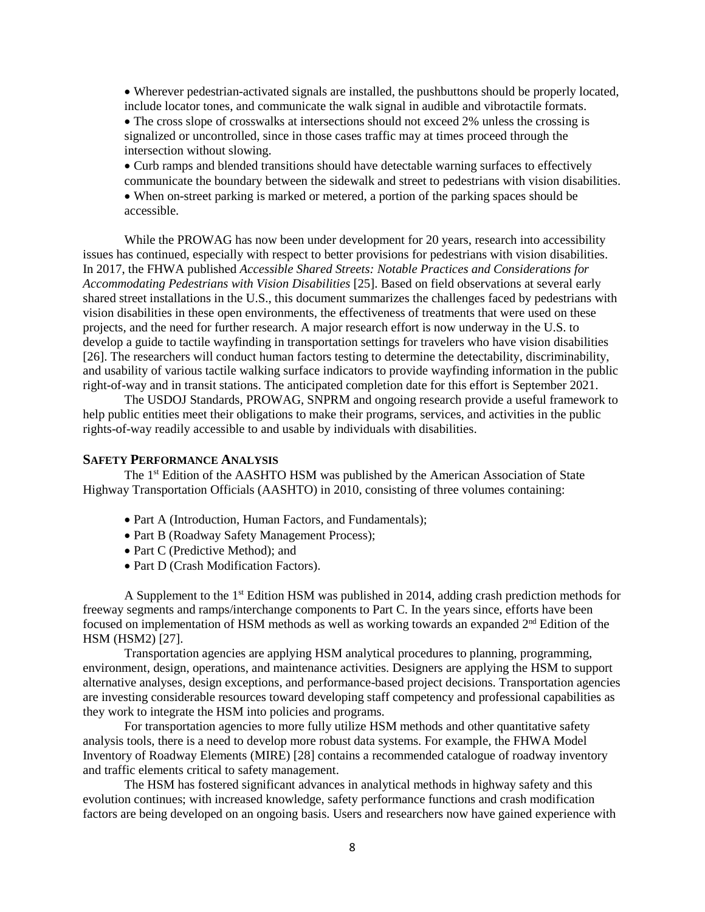• Wherever pedestrian-activated signals are installed, the pushbuttons should be properly located, include locator tones, and communicate the walk signal in audible and vibrotactile formats.

• The cross slope of crosswalks at intersections should not exceed 2% unless the crossing is signalized or uncontrolled, since in those cases traffic may at times proceed through the intersection without slowing.

• Curb ramps and blended transitions should have detectable warning surfaces to effectively communicate the boundary between the sidewalk and street to pedestrians with vision disabilities.

• When on-street parking is marked or metered, a portion of the parking spaces should be accessible.

While the PROWAG has now been under development for 20 years, research into accessibility issues has continued, especially with respect to better provisions for pedestrians with vision disabilities. In 2017, the FHWA published *Accessible Shared Streets: Notable Practices and Considerations for Accommodating Pedestrians with Vision Disabilities* [25]. Based on field observations at several early shared street installations in the U.S., this document summarizes the challenges faced by pedestrians with vision disabilities in these open environments, the effectiveness of treatments that were used on these projects, and the need for further research. A major research effort is now underway in the U.S. to develop a guide to tactile wayfinding in transportation settings for travelers who have vision disabilities [26]. The researchers will conduct human factors testing to determine the detectability, discriminability, and usability of various tactile walking surface indicators to provide wayfinding information in the public right-of-way and in transit stations. The anticipated completion date for this effort is September 2021.

The USDOJ Standards, PROWAG, SNPRM and ongoing research provide a useful framework to help public entities meet their obligations to make their programs, services, and activities in the public rights-of-way readily accessible to and usable by individuals with disabilities.

## **SAFETY PERFORMANCE ANALYSIS**

The 1<sup>st</sup> Edition of the AASHTO HSM was published by the American Association of State Highway Transportation Officials (AASHTO) in 2010, consisting of three volumes containing:

- Part A (Introduction, Human Factors, and Fundamentals);
- Part B (Roadway Safety Management Process);
- Part C (Predictive Method); and
- Part D (Crash Modification Factors).

A Supplement to the  $1<sup>st</sup>$  Edition HSM was published in 2014, adding crash prediction methods for freeway segments and ramps/interchange components to Part C. In the years since, efforts have been focused on implementation of HSM methods as well as working towards an expanded 2nd Edition of the HSM (HSM2) [27].

Transportation agencies are applying HSM analytical procedures to planning, programming, environment, design, operations, and maintenance activities. Designers are applying the HSM to support alternative analyses, design exceptions, and performance-based project decisions. Transportation agencies are investing considerable resources toward developing staff competency and professional capabilities as they work to integrate the HSM into policies and programs.

For transportation agencies to more fully utilize HSM methods and other quantitative safety analysis tools, there is a need to develop more robust data systems. For example, the FHWA Model Inventory of Roadway Elements (MIRE) [28] contains a recommended catalogue of roadway inventory and traffic elements critical to safety management.

The HSM has fostered significant advances in analytical methods in highway safety and this evolution continues; with increased knowledge, safety performance functions and crash modification factors are being developed on an ongoing basis. Users and researchers now have gained experience with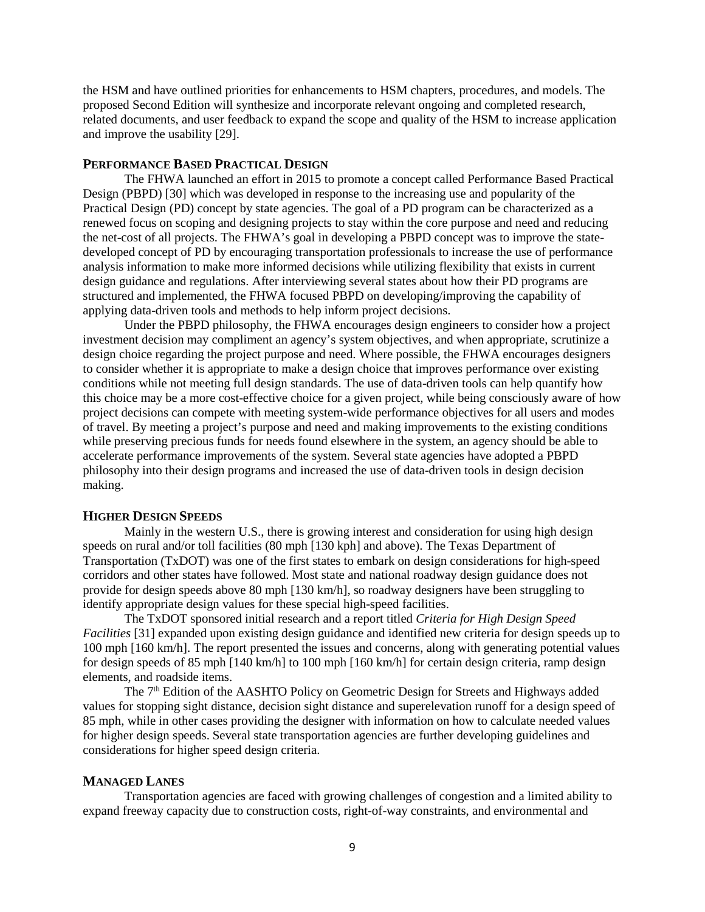the HSM and have outlined priorities for enhancements to HSM chapters, procedures, and models. The proposed Second Edition will synthesize and incorporate relevant ongoing and completed research, related documents, and user feedback to expand the scope and quality of the HSM to increase application and improve the usability [29].

## **PERFORMANCE BASED PRACTICAL DESIGN**

The FHWA launched an effort in 2015 to promote a concept called Performance Based Practical Design (PBPD) [30] which was developed in response to the increasing use and popularity of the Practical Design (PD) concept by state agencies. The goal of a PD program can be characterized as a renewed focus on scoping and designing projects to stay within the core purpose and need and reducing the net-cost of all projects. The FHWA's goal in developing a PBPD concept was to improve the statedeveloped concept of PD by encouraging transportation professionals to increase the use of performance analysis information to make more informed decisions while utilizing flexibility that exists in current design guidance and regulations. After interviewing several states about how their PD programs are structured and implemented, the FHWA focused PBPD on developing/improving the capability of applying data-driven tools and methods to help inform project decisions.

Under the PBPD philosophy, the FHWA encourages design engineers to consider how a project investment decision may compliment an agency's system objectives, and when appropriate, scrutinize a design choice regarding the project purpose and need. Where possible, the FHWA encourages designers to consider whether it is appropriate to make a design choice that improves performance over existing conditions while not meeting full design standards. The use of data-driven tools can help quantify how this choice may be a more cost-effective choice for a given project, while being consciously aware of how project decisions can compete with meeting system-wide performance objectives for all users and modes of travel. By meeting a project's purpose and need and making improvements to the existing conditions while preserving precious funds for needs found elsewhere in the system, an agency should be able to accelerate performance improvements of the system. Several state agencies have adopted a PBPD philosophy into their design programs and increased the use of data-driven tools in design decision making.

#### **HIGHER DESIGN SPEEDS**

Mainly in the western U.S., there is growing interest and consideration for using high design speeds on rural and/or toll facilities (80 mph [130 kph] and above). The Texas Department of Transportation (TxDOT) was one of the first states to embark on design considerations for high-speed corridors and other states have followed. Most state and national roadway design guidance does not provide for design speeds above 80 mph [130 km/h], so roadway designers have been struggling to identify appropriate design values for these special high-speed facilities.

The TxDOT sponsored initial research and a report titled *Criteria for High Design Speed Facilities* [31] expanded upon existing design guidance and identified new criteria for design speeds up to 100 mph [160 km/h]. The report presented the issues and concerns, along with generating potential values for design speeds of 85 mph [140 km/h] to 100 mph [160 km/h] for certain design criteria, ramp design elements, and roadside items.

The 7<sup>th</sup> Edition of the AASHTO Policy on Geometric Design for Streets and Highways added values for stopping sight distance, decision sight distance and superelevation runoff for a design speed of 85 mph, while in other cases providing the designer with information on how to calculate needed values for higher design speeds. Several state transportation agencies are further developing guidelines and considerations for higher speed design criteria.

#### **MANAGED LANES**

Transportation agencies are faced with growing challenges of congestion and a limited ability to expand freeway capacity due to construction costs, right-of-way constraints, and environmental and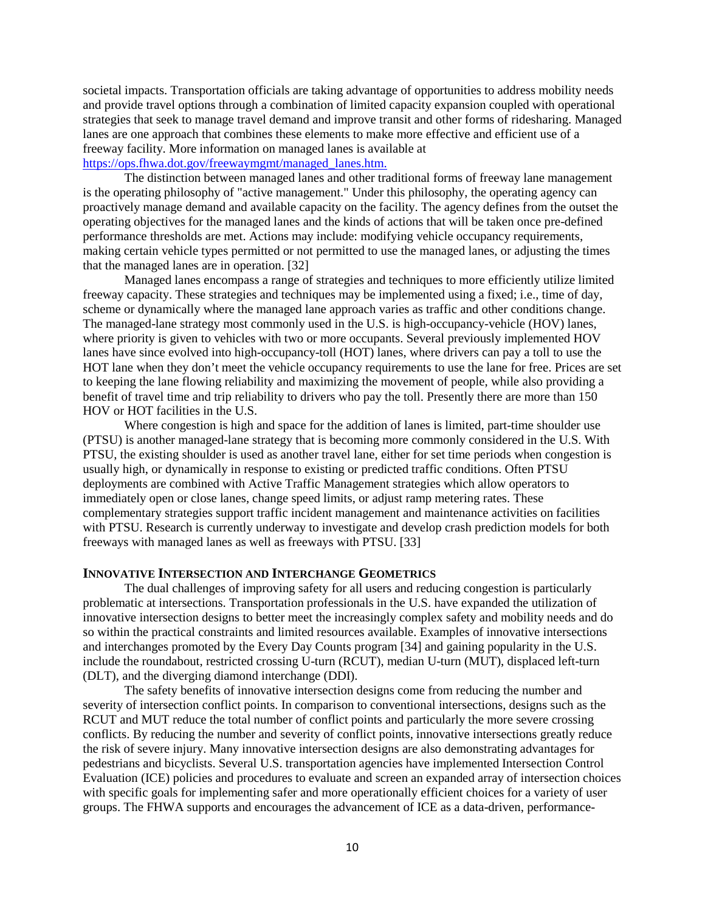societal impacts. Transportation officials are taking advantage of opportunities to address mobility needs and provide travel options through a combination of limited capacity expansion coupled with operational strategies that seek to manage travel demand and improve transit and other forms of ridesharing. Managed lanes are one approach that combines these elements to make more effective and efficient use of a freeway facility. More information on managed lanes is available at

# [https://ops.fhwa.dot.gov/freewaymgmt/managed\\_lanes.htm.](https://ops.fhwa.dot.gov/freewaymgmt/managed_lanes.htm)

The distinction between managed lanes and other traditional forms of freeway lane management is the operating philosophy of "active management." Under this philosophy, the operating agency can proactively manage demand and available capacity on the facility. The agency defines from the outset the operating objectives for the managed lanes and the kinds of actions that will be taken once pre-defined performance thresholds are met. Actions may include: modifying vehicle occupancy requirements, making certain vehicle types permitted or not permitted to use the managed lanes, or adjusting the times that the managed lanes are in operation. [32]

Managed lanes encompass a range of strategies and techniques to more efficiently utilize limited freeway capacity. These strategies and techniques may be implemented using a fixed; i.e., time of day, scheme or dynamically where the managed lane approach varies as traffic and other conditions change. The managed-lane strategy most commonly used in the U.S. is high-occupancy-vehicle (HOV) lanes, where priority is given to vehicles with two or more occupants. Several previously implemented HOV lanes have since evolved into high-occupancy-toll (HOT) lanes, where drivers can pay a toll to use the HOT lane when they don't meet the vehicle occupancy requirements to use the lane for free. Prices are set to keeping the lane flowing reliability and maximizing the movement of people, while also providing a benefit of travel time and trip reliability to drivers who pay the toll. Presently there are more than 150 HOV or HOT facilities in the U.S.

Where congestion is high and space for the addition of lanes is limited, part-time shoulder use (PTSU) is another managed-lane strategy that is becoming more commonly considered in the U.S. With PTSU, the existing shoulder is used as another travel lane, either for set time periods when congestion is usually high, or dynamically in response to existing or predicted traffic conditions. Often PTSU deployments are combined with Active Traffic Management strategies which allow operators to immediately open or close lanes, change speed limits, or adjust ramp metering rates. These complementary strategies support traffic incident management and maintenance activities on facilities with PTSU. Research is currently underway to investigate and develop crash prediction models for both freeways with managed lanes as well as freeways with PTSU. [33]

## **INNOVATIVE INTERSECTION AND INTERCHANGE GEOMETRICS**

The dual challenges of improving safety for all users and reducing congestion is particularly problematic at intersections. Transportation professionals in the U.S. have expanded the utilization of innovative intersection designs to better meet the increasingly complex safety and mobility needs and do so within the practical constraints and limited resources available. Examples of innovative intersections and interchanges promoted by the Every Day Counts program [34] and gaining popularity in the U.S. include the roundabout, restricted crossing U-turn (RCUT), median U-turn (MUT), displaced left-turn (DLT), and the diverging diamond interchange (DDI).

The safety benefits of innovative intersection designs come from reducing the number and severity of intersection conflict points. In comparison to conventional intersections, designs such as the RCUT and MUT reduce the total number of conflict points and particularly the more severe crossing conflicts. By reducing the number and severity of conflict points, innovative intersections greatly reduce the risk of severe injury. Many innovative intersection designs are also demonstrating advantages for pedestrians and bicyclists. Several U.S. transportation agencies have implemented Intersection Control Evaluation (ICE) policies and procedures to evaluate and screen an expanded array of intersection choices with specific goals for implementing safer and more operationally efficient choices for a variety of user groups. The FHWA supports and encourages the advancement of ICE as a data-driven, performance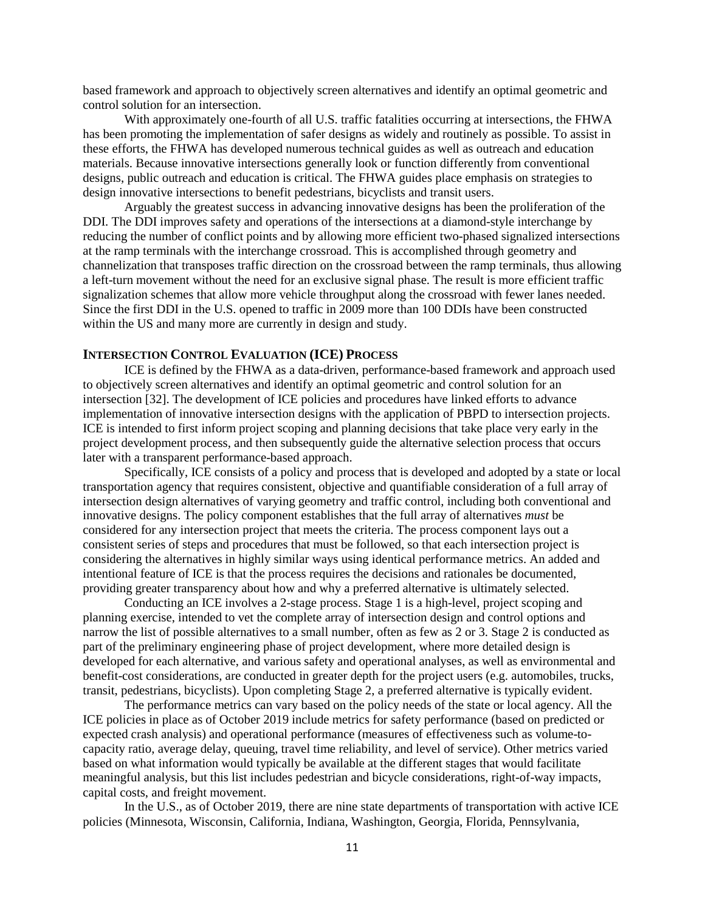based framework and approach to objectively screen alternatives and identify an optimal geometric and control solution for an intersection.

With approximately one-fourth of all U.S. traffic fatalities occurring at intersections, the FHWA has been promoting the implementation of safer designs as widely and routinely as possible. To assist in these efforts, the FHWA has developed numerous technical guides as well as outreach and education materials. Because innovative intersections generally look or function differently from conventional designs, public outreach and education is critical. The FHWA guides place emphasis on strategies to design innovative intersections to benefit pedestrians, bicyclists and transit users.

Arguably the greatest success in advancing innovative designs has been the proliferation of the DDI. The DDI improves safety and operations of the intersections at a diamond-style interchange by reducing the number of conflict points and by allowing more efficient two-phased signalized intersections at the ramp terminals with the interchange crossroad. This is accomplished through geometry and channelization that transposes traffic direction on the crossroad between the ramp terminals, thus allowing a left-turn movement without the need for an exclusive signal phase. The result is more efficient traffic signalization schemes that allow more vehicle throughput along the crossroad with fewer lanes needed. Since the first DDI in the U.S. opened to traffic in 2009 more than 100 DDIs have been constructed within the US and many more are currently in design and study.

## **INTERSECTION CONTROL EVALUATION (ICE) PROCESS**

ICE is defined by the FHWA as a data-driven, performance-based framework and approach used to objectively screen alternatives and identify an optimal geometric and control solution for an intersection [32]. The development of ICE policies and procedures have linked efforts to advance implementation of innovative intersection designs with the application of PBPD to intersection projects. ICE is intended to first inform project scoping and planning decisions that take place very early in the project development process, and then subsequently guide the alternative selection process that occurs later with a transparent performance-based approach.

Specifically, ICE consists of a policy and process that is developed and adopted by a state or local transportation agency that requires consistent, objective and quantifiable consideration of a full array of intersection design alternatives of varying geometry and traffic control, including both conventional and innovative designs. The policy component establishes that the full array of alternatives *must* be considered for any intersection project that meets the criteria. The process component lays out a consistent series of steps and procedures that must be followed, so that each intersection project is considering the alternatives in highly similar ways using identical performance metrics. An added and intentional feature of ICE is that the process requires the decisions and rationales be documented, providing greater transparency about how and why a preferred alternative is ultimately selected.

Conducting an ICE involves a 2-stage process. Stage 1 is a high-level, project scoping and planning exercise, intended to vet the complete array of intersection design and control options and narrow the list of possible alternatives to a small number, often as few as 2 or 3. Stage 2 is conducted as part of the preliminary engineering phase of project development, where more detailed design is developed for each alternative, and various safety and operational analyses, as well as environmental and benefit-cost considerations, are conducted in greater depth for the project users (e.g. automobiles, trucks, transit, pedestrians, bicyclists). Upon completing Stage 2, a preferred alternative is typically evident.

The performance metrics can vary based on the policy needs of the state or local agency. All the ICE policies in place as of October 2019 include metrics for safety performance (based on predicted or expected crash analysis) and operational performance (measures of effectiveness such as volume-tocapacity ratio, average delay, queuing, travel time reliability, and level of service). Other metrics varied based on what information would typically be available at the different stages that would facilitate meaningful analysis, but this list includes pedestrian and bicycle considerations, right-of-way impacts, capital costs, and freight movement.

In the U.S., as of October 2019, there are nine state departments of transportation with active ICE policies (Minnesota, Wisconsin, California, Indiana, Washington, Georgia, Florida, Pennsylvania,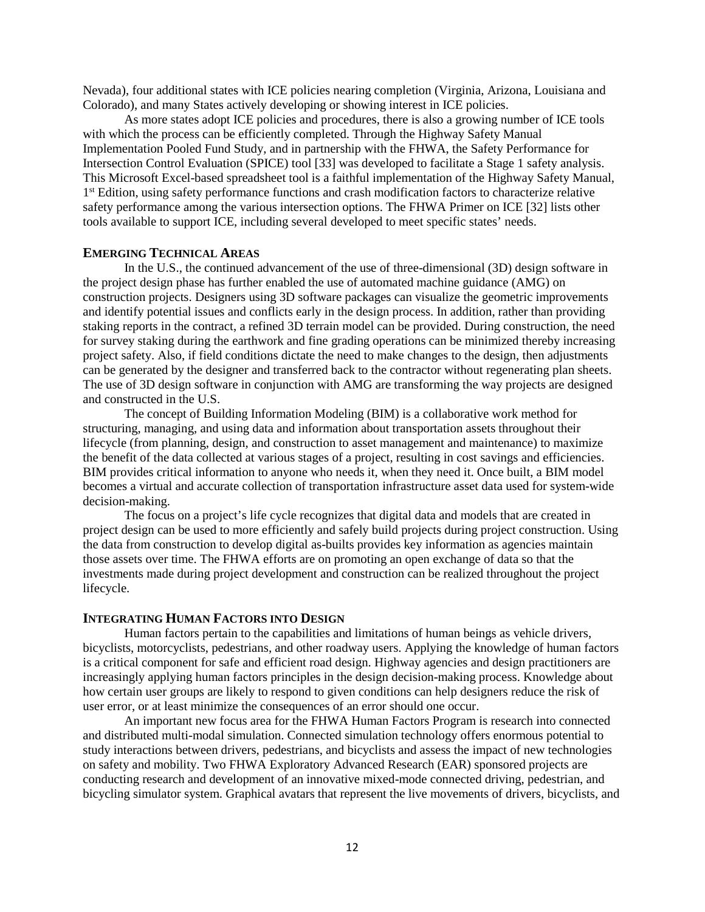Nevada), four additional states with ICE policies nearing completion (Virginia, Arizona, Louisiana and Colorado), and many States actively developing or showing interest in ICE policies.

As more states adopt ICE policies and procedures, there is also a growing number of ICE tools with which the process can be efficiently completed. Through the Highway Safety Manual Implementation Pooled Fund Study, and in partnership with the FHWA, the Safety Performance for Intersection Control Evaluation (SPICE) tool [33] was developed to facilitate a Stage 1 safety analysis. This Microsoft Excel-based spreadsheet tool is a faithful implementation of the Highway Safety Manual, 1st Edition, using safety performance functions and crash modification factors to characterize relative safety performance among the various intersection options. The FHWA Primer on ICE [32] lists other tools available to support ICE, including several developed to meet specific states' needs.

## **EMERGING TECHNICAL AREAS**

In the U.S., the continued advancement of the use of three-dimensional (3D) design software in the project design phase has further enabled the use of automated machine guidance (AMG) on construction projects. Designers using 3D software packages can visualize the geometric improvements and identify potential issues and conflicts early in the design process. In addition, rather than providing staking reports in the contract, a refined 3D terrain model can be provided. During construction, the need for survey staking during the earthwork and fine grading operations can be minimized thereby increasing project safety. Also, if field conditions dictate the need to make changes to the design, then adjustments can be generated by the designer and transferred back to the contractor without regenerating plan sheets. The use of 3D design software in conjunction with AMG are transforming the way projects are designed and constructed in the U.S.

The concept of Building Information Modeling (BIM) is a collaborative work method for structuring, managing, and using data and information about transportation assets throughout their lifecycle (from planning, design, and construction to asset management and maintenance) to maximize the benefit of the data collected at various stages of a project, resulting in cost savings and efficiencies. BIM provides critical information to anyone who needs it, when they need it. Once built, a BIM model becomes a virtual and accurate collection of transportation infrastructure asset data used for system-wide decision-making.

The focus on a project's life cycle recognizes that digital data and models that are created in project design can be used to more efficiently and safely build projects during project construction. Using the data from construction to develop digital as-builts provides key information as agencies maintain those assets over time. The FHWA efforts are on promoting an open exchange of data so that the investments made during project development and construction can be realized throughout the project lifecycle.

### **INTEGRATING HUMAN FACTORS INTO DESIGN**

Human factors pertain to the capabilities and limitations of human beings as vehicle drivers, bicyclists, motorcyclists, pedestrians, and other roadway users. Applying the knowledge of human factors is a critical component for safe and efficient road design. Highway agencies and design practitioners are increasingly applying human factors principles in the design decision-making process. Knowledge about how certain user groups are likely to respond to given conditions can help designers reduce the risk of user error, or at least minimize the consequences of an error should one occur.

An important new focus area for the FHWA Human Factors Program is research into connected and distributed multi-modal simulation. Connected simulation technology offers enormous potential to study interactions between drivers, pedestrians, and bicyclists and assess the impact of new technologies on safety and mobility. Two FHWA Exploratory Advanced Research (EAR) sponsored projects are conducting research and development of an innovative mixed-mode connected driving, pedestrian, and bicycling simulator system. Graphical avatars that represent the live movements of drivers, bicyclists, and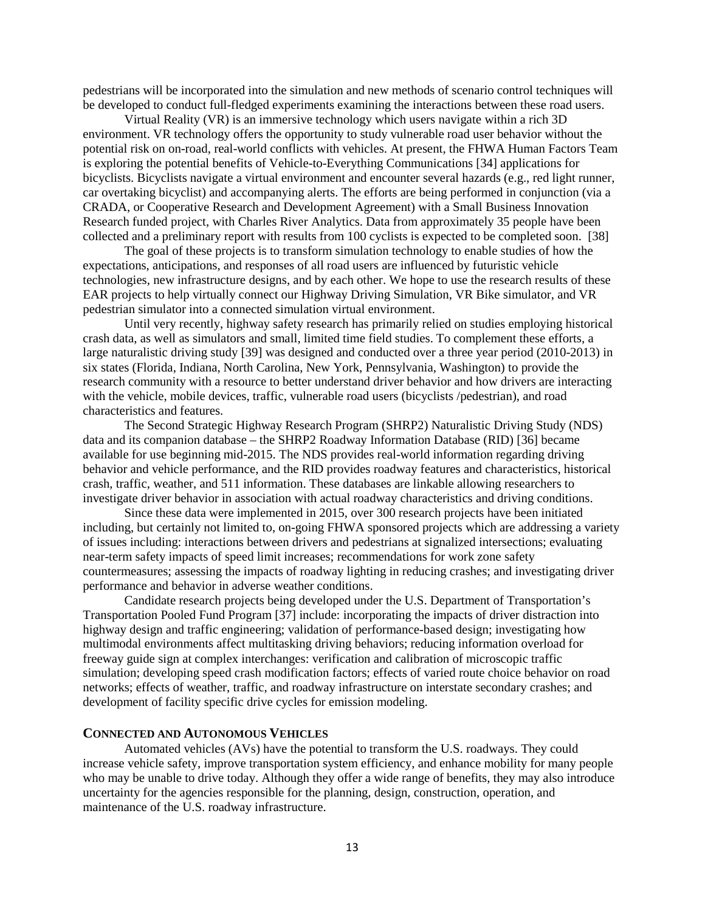pedestrians will be incorporated into the simulation and new methods of scenario control techniques will be developed to conduct full-fledged experiments examining the interactions between these road users.

Virtual Reality (VR) is an immersive technology which users navigate within a rich 3D environment. VR technology offers the opportunity to study vulnerable road user behavior without the potential risk on on-road, real-world conflicts with vehicles. At present, the FHWA Human Factors Team is exploring the potential benefits of Vehicle-to-Everything Communications [34] applications for bicyclists. Bicyclists navigate a virtual environment and encounter several hazards (e.g., red light runner, car overtaking bicyclist) and accompanying alerts. The efforts are being performed in conjunction (via a CRADA, or Cooperative Research and Development Agreement) with a Small Business Innovation Research funded project, with Charles River Analytics. Data from approximately 35 people have been collected and a preliminary report with results from 100 cyclists is expected to be completed soon. [38]

The goal of these projects is to transform simulation technology to enable studies of how the expectations, anticipations, and responses of all road users are influenced by futuristic vehicle technologies, new infrastructure designs, and by each other. We hope to use the research results of these EAR projects to help virtually connect our Highway Driving Simulation, VR Bike simulator, and VR pedestrian simulator into a connected simulation virtual environment.

Until very recently, highway safety research has primarily relied on studies employing historical crash data, as well as simulators and small, limited time field studies. To complement these efforts, a large naturalistic driving study [39] was designed and conducted over a three year period (2010-2013) in six states (Florida, Indiana, North Carolina, New York, Pennsylvania, Washington) to provide the research community with a resource to better understand driver behavior and how drivers are interacting with the vehicle, mobile devices, traffic, vulnerable road users (bicyclists /pedestrian), and road characteristics and features.

The Second Strategic Highway Research Program (SHRP2) Naturalistic Driving Study (NDS) data and its companion database – the SHRP2 Roadway Information Database (RID) [36] became available for use beginning mid-2015. The NDS provides real-world information regarding driving behavior and vehicle performance, and the RID provides roadway features and characteristics, historical crash, traffic, weather, and 511 information. These databases are linkable allowing researchers to investigate driver behavior in association with actual roadway characteristics and driving conditions.

Since these data were implemented in 2015, over 300 research projects have been initiated including, but certainly not limited to, on-going FHWA sponsored projects which are addressing a variety of issues including: interactions between drivers and pedestrians at signalized intersections; evaluating near-term safety impacts of speed limit increases; recommendations for work zone safety countermeasures; assessing the impacts of roadway lighting in reducing crashes; and investigating driver performance and behavior in adverse weather conditions.

Candidate research projects being developed under the U.S. Department of Transportation's Transportation Pooled Fund Program [37] include: incorporating the impacts of driver distraction into highway design and traffic engineering; validation of performance-based design; investigating how multimodal environments affect multitasking driving behaviors; reducing information overload for freeway guide sign at complex interchanges: verification and calibration of microscopic traffic simulation; developing speed crash modification factors; effects of varied route choice behavior on road networks; effects of weather, traffic, and roadway infrastructure on interstate secondary crashes; and development of facility specific drive cycles for emission modeling.

## **CONNECTED AND AUTONOMOUS VEHICLES**

Automated vehicles (AVs) have the potential to transform the U.S. roadways. They could increase vehicle safety, improve transportation system efficiency, and enhance mobility for many people who may be unable to drive today. Although they offer a wide range of benefits, they may also introduce uncertainty for the agencies responsible for the planning, design, construction, operation, and maintenance of the U.S. roadway infrastructure.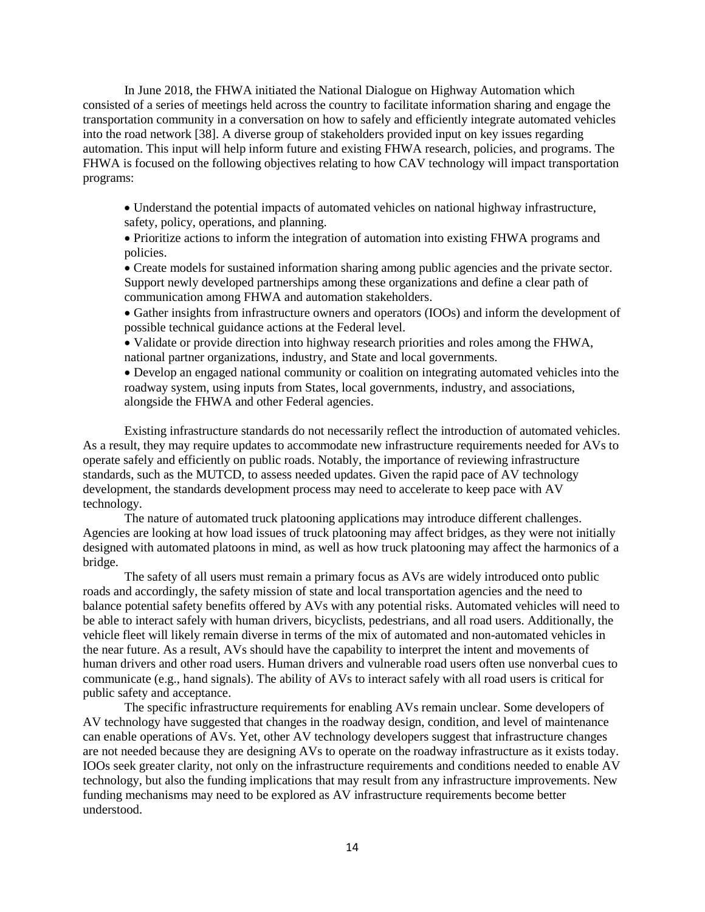In June 2018, the FHWA initiated the National Dialogue on Highway Automation which consisted of a series of meetings held across the country to facilitate information sharing and engage the transportation community in a conversation on how to safely and efficiently integrate automated vehicles into the road network [38]. A diverse group of stakeholders provided input on key issues regarding automation. This input will help inform future and existing FHWA research, policies, and programs. The FHWA is focused on the following objectives relating to how CAV technology will impact transportation programs:

• Understand the potential impacts of automated vehicles on national highway infrastructure, safety, policy, operations, and planning.

• Prioritize actions to inform the integration of automation into existing FHWA programs and policies.

• Create models for sustained information sharing among public agencies and the private sector. Support newly developed partnerships among these organizations and define a clear path of communication among FHWA and automation stakeholders.

• Gather insights from infrastructure owners and operators (IOOs) and inform the development of possible technical guidance actions at the Federal level.

• Validate or provide direction into highway research priorities and roles among the FHWA, national partner organizations, industry, and State and local governments.

• Develop an engaged national community or coalition on integrating automated vehicles into the roadway system, using inputs from States, local governments, industry, and associations, alongside the FHWA and other Federal agencies.

Existing infrastructure standards do not necessarily reflect the introduction of automated vehicles. As a result, they may require updates to accommodate new infrastructure requirements needed for AVs to operate safely and efficiently on public roads. Notably, the importance of reviewing infrastructure standards, such as the MUTCD, to assess needed updates. Given the rapid pace of AV technology development, the standards development process may need to accelerate to keep pace with AV technology.

The nature of automated truck platooning applications may introduce different challenges. Agencies are looking at how load issues of truck platooning may affect bridges, as they were not initially designed with automated platoons in mind, as well as how truck platooning may affect the harmonics of a bridge.

The safety of all users must remain a primary focus as AVs are widely introduced onto public roads and accordingly, the safety mission of state and local transportation agencies and the need to balance potential safety benefits offered by AVs with any potential risks. Automated vehicles will need to be able to interact safely with human drivers, bicyclists, pedestrians, and all road users. Additionally, the vehicle fleet will likely remain diverse in terms of the mix of automated and non-automated vehicles in the near future. As a result, AVs should have the capability to interpret the intent and movements of human drivers and other road users. Human drivers and vulnerable road users often use nonverbal cues to communicate (e.g., hand signals). The ability of AVs to interact safely with all road users is critical for public safety and acceptance.

The specific infrastructure requirements for enabling AVs remain unclear. Some developers of AV technology have suggested that changes in the roadway design, condition, and level of maintenance can enable operations of AVs. Yet, other AV technology developers suggest that infrastructure changes are not needed because they are designing AVs to operate on the roadway infrastructure as it exists today. IOOs seek greater clarity, not only on the infrastructure requirements and conditions needed to enable AV technology, but also the funding implications that may result from any infrastructure improvements. New funding mechanisms may need to be explored as AV infrastructure requirements become better understood.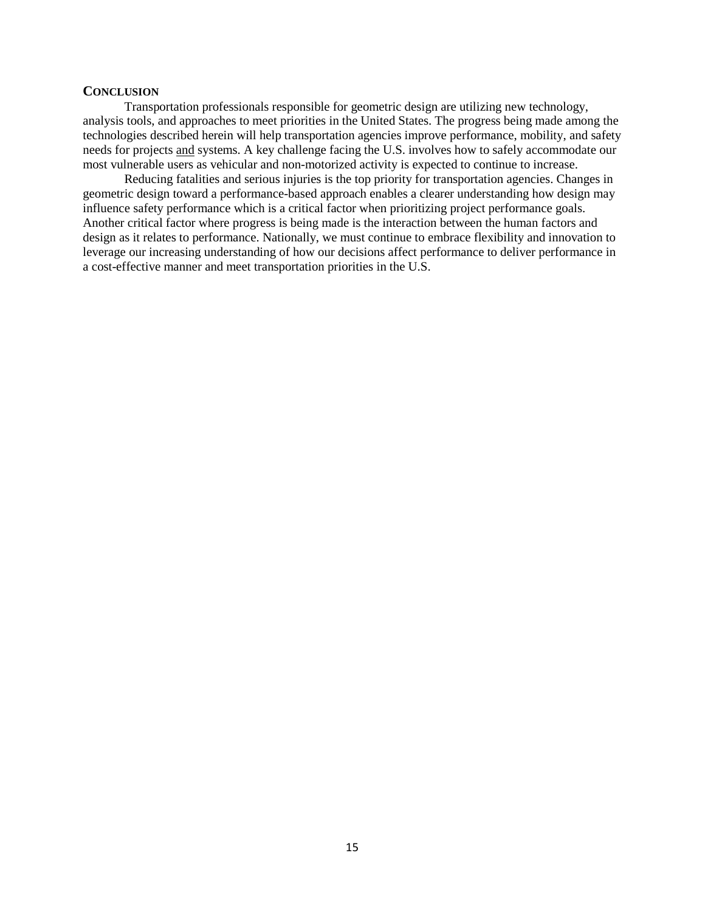## **CONCLUSION**

Transportation professionals responsible for geometric design are utilizing new technology, analysis tools, and approaches to meet priorities in the United States. The progress being made among the technologies described herein will help transportation agencies improve performance, mobility, and safety needs for projects and systems. A key challenge facing the U.S. involves how to safely accommodate our most vulnerable users as vehicular and non-motorized activity is expected to continue to increase.

Reducing fatalities and serious injuries is the top priority for transportation agencies. Changes in geometric design toward a performance-based approach enables a clearer understanding how design may influence safety performance which is a critical factor when prioritizing project performance goals. Another critical factor where progress is being made is the interaction between the human factors and design as it relates to performance. Nationally, we must continue to embrace flexibility and innovation to leverage our increasing understanding of how our decisions affect performance to deliver performance in a cost-effective manner and meet transportation priorities in the U.S.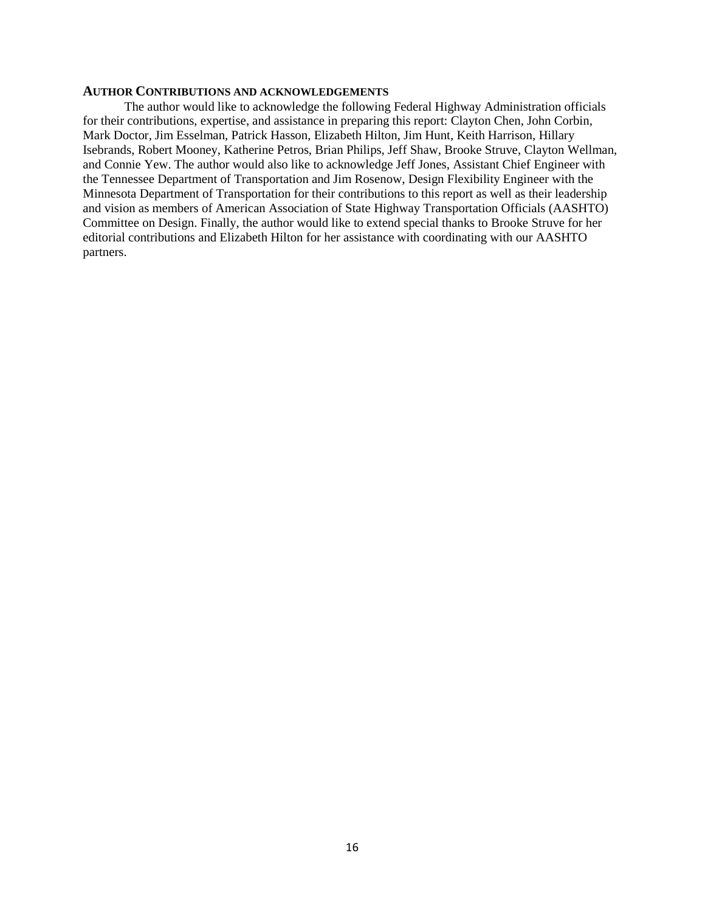#### **AUTHOR CONTRIBUTIONS AND ACKNOWLEDGEMENTS**

The author would like to acknowledge the following Federal Highway Administration officials for their contributions, expertise, and assistance in preparing this report: Clayton Chen, John Corbin, Mark Doctor, Jim Esselman, Patrick Hasson, Elizabeth Hilton, Jim Hunt, Keith Harrison, Hillary Isebrands, Robert Mooney, Katherine Petros, Brian Philips, Jeff Shaw, Brooke Struve, Clayton Wellman, and Connie Yew. The author would also like to acknowledge Jeff Jones, Assistant Chief Engineer with the Tennessee Department of Transportation and Jim Rosenow, Design Flexibility Engineer with the Minnesota Department of Transportation for their contributions to this report as well as their leadership and vision as members of American Association of State Highway Transportation Officials (AASHTO) Committee on Design. Finally, the author would like to extend special thanks to Brooke Struve for her editorial contributions and Elizabeth Hilton for her assistance with coordinating with our AASHTO partners.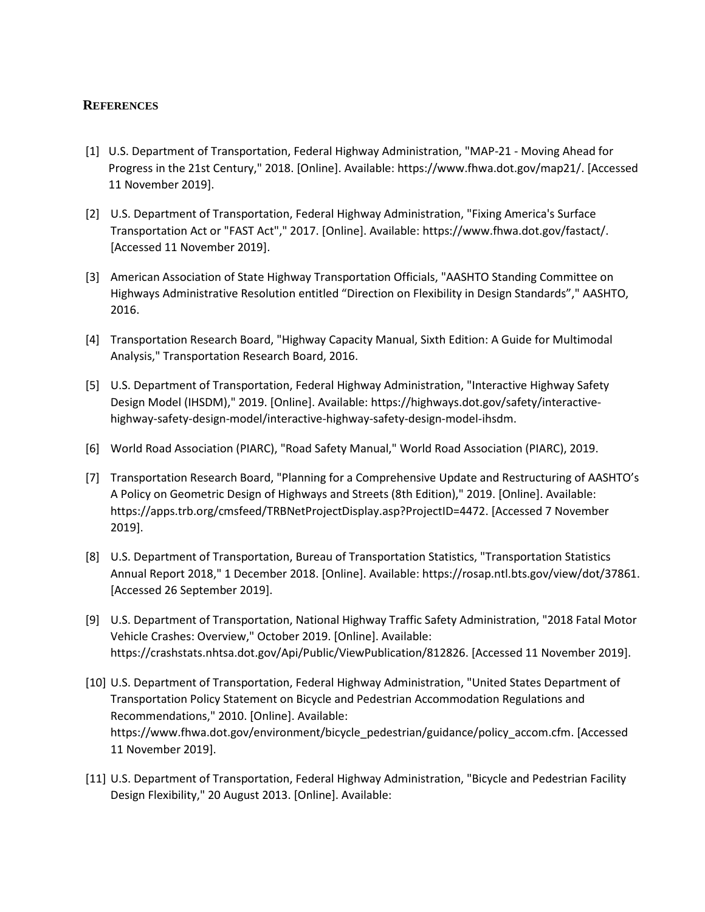## **REFERENCES**

- [1] U.S. Department of Transportation, Federal Highway Administration, "MAP-21 Moving Ahead for Progress in the 21st Century," 2018. [Online]. Available: https://www.fhwa.dot.gov/map21/. [Accessed 11 November 2019].
- [2] U.S. Department of Transportation, Federal Highway Administration, "Fixing America's Surface Transportation Act or "FAST Act"," 2017. [Online]. Available: https://www.fhwa.dot.gov/fastact/. [Accessed 11 November 2019].
- [3] American Association of State Highway Transportation Officials, "AASHTO Standing Committee on Highways Administrative Resolution entitled "Direction on Flexibility in Design Standards"," AASHTO, 2016.
- [4] Transportation Research Board, "Highway Capacity Manual, Sixth Edition: A Guide for Multimodal Analysis," Transportation Research Board, 2016.
- [5] U.S. Department of Transportation, Federal Highway Administration, "Interactive Highway Safety Design Model (IHSDM)," 2019. [Online]. Available: https://highways.dot.gov/safety/interactivehighway-safety-design-model/interactive-highway-safety-design-model-ihsdm.
- [6] World Road Association (PIARC), "Road Safety Manual," World Road Association (PIARC), 2019.
- [7] Transportation Research Board, "Planning for a Comprehensive Update and Restructuring of AASHTO's A Policy on Geometric Design of Highways and Streets (8th Edition)," 2019. [Online]. Available: https://apps.trb.org/cmsfeed/TRBNetProjectDisplay.asp?ProjectID=4472. [Accessed 7 November 2019].
- [8] U.S. Department of Transportation, Bureau of Transportation Statistics, "Transportation Statistics Annual Report 2018," 1 December 2018. [Online]. Available: https://rosap.ntl.bts.gov/view/dot/37861. [Accessed 26 September 2019].
- [9] U.S. Department of Transportation, National Highway Traffic Safety Administration, "2018 Fatal Motor Vehicle Crashes: Overview," October 2019. [Online]. Available: https://crashstats.nhtsa.dot.gov/Api/Public/ViewPublication/812826. [Accessed 11 November 2019].
- [10] U.S. Department of Transportation, Federal Highway Administration, "United States Department of Transportation Policy Statement on Bicycle and Pedestrian Accommodation Regulations and Recommendations," 2010. [Online]. Available: https://www.fhwa.dot.gov/environment/bicycle\_pedestrian/guidance/policy\_accom.cfm. [Accessed 11 November 2019].
- [11] U.S. Department of Transportation, Federal Highway Administration, "Bicycle and Pedestrian Facility Design Flexibility," 20 August 2013. [Online]. Available: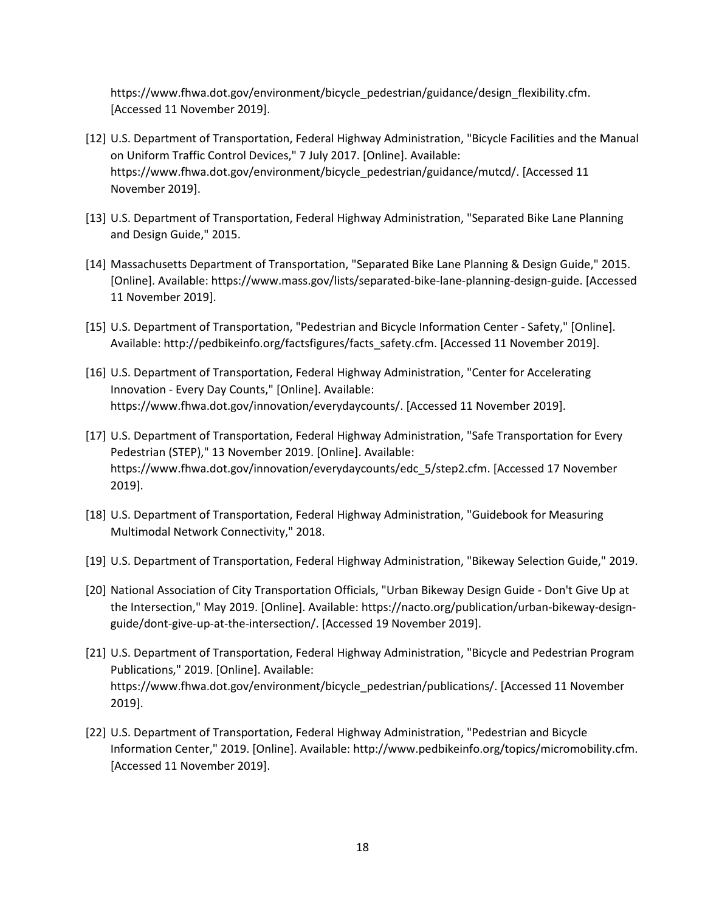https://www.fhwa.dot.gov/environment/bicycle\_pedestrian/guidance/design\_flexibility.cfm. [Accessed 11 November 2019].

- [12] U.S. Department of Transportation, Federal Highway Administration, "Bicycle Facilities and the Manual on Uniform Traffic Control Devices," 7 July 2017. [Online]. Available: https://www.fhwa.dot.gov/environment/bicycle\_pedestrian/guidance/mutcd/. [Accessed 11 November 2019].
- [13] U.S. Department of Transportation, Federal Highway Administration, "Separated Bike Lane Planning and Design Guide," 2015.
- [14] Massachusetts Department of Transportation, "Separated Bike Lane Planning & Design Guide," 2015. [Online]. Available: https://www.mass.gov/lists/separated-bike-lane-planning-design-guide. [Accessed 11 November 2019].
- [15] U.S. Department of Transportation, "Pedestrian and Bicycle Information Center Safety," [Online]. Available: http://pedbikeinfo.org/factsfigures/facts\_safety.cfm. [Accessed 11 November 2019].
- [16] U.S. Department of Transportation, Federal Highway Administration, "Center for Accelerating Innovation - Every Day Counts," [Online]. Available: https://www.fhwa.dot.gov/innovation/everydaycounts/. [Accessed 11 November 2019].
- [17] U.S. Department of Transportation, Federal Highway Administration, "Safe Transportation for Every Pedestrian (STEP)," 13 November 2019. [Online]. Available: https://www.fhwa.dot.gov/innovation/everydaycounts/edc\_5/step2.cfm. [Accessed 17 November 2019].
- [18] U.S. Department of Transportation, Federal Highway Administration, "Guidebook for Measuring Multimodal Network Connectivity," 2018.
- [19] U.S. Department of Transportation, Federal Highway Administration, "Bikeway Selection Guide," 2019.
- [20] National Association of City Transportation Officials, "Urban Bikeway Design Guide Don't Give Up at the Intersection," May 2019. [Online]. Available: https://nacto.org/publication/urban-bikeway-designguide/dont-give-up-at-the-intersection/. [Accessed 19 November 2019].
- [21] U.S. Department of Transportation, Federal Highway Administration, "Bicycle and Pedestrian Program Publications," 2019. [Online]. Available: https://www.fhwa.dot.gov/environment/bicycle\_pedestrian/publications/. [Accessed 11 November 2019].
- [22] U.S. Department of Transportation, Federal Highway Administration, "Pedestrian and Bicycle Information Center," 2019. [Online]. Available: http://www.pedbikeinfo.org/topics/micromobility.cfm. [Accessed 11 November 2019].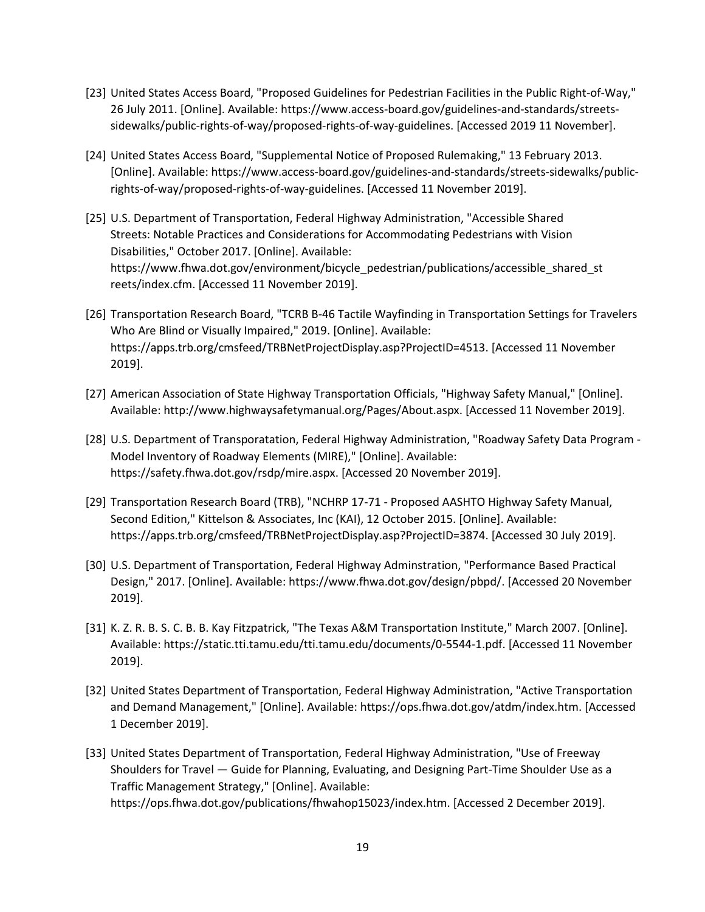- [23] United States Access Board, "Proposed Guidelines for Pedestrian Facilities in the Public Right-of-Way," 26 July 2011. [Online]. Available: https://www.access-board.gov/guidelines-and-standards/streetssidewalks/public-rights-of-way/proposed-rights-of-way-guidelines. [Accessed 2019 11 November].
- [24] United States Access Board, "Supplemental Notice of Proposed Rulemaking," 13 February 2013. [Online]. Available: https://www.access-board.gov/guidelines-and-standards/streets-sidewalks/publicrights-of-way/proposed-rights-of-way-guidelines. [Accessed 11 November 2019].
- [25] U.S. Department of Transportation, Federal Highway Administration, "Accessible Shared Streets: Notable Practices and Considerations for Accommodating Pedestrians with Vision Disabilities," October 2017. [Online]. Available: https://www.fhwa.dot.gov/environment/bicycle\_pedestrian/publications/accessible\_shared\_st reets/index.cfm. [Accessed 11 November 2019].
- [26] Transportation Research Board, "TCRB B-46 Tactile Wayfinding in Transportation Settings for Travelers Who Are Blind or Visually Impaired," 2019. [Online]. Available: https://apps.trb.org/cmsfeed/TRBNetProjectDisplay.asp?ProjectID=4513. [Accessed 11 November 2019].
- [27] American Association of State Highway Transportation Officials, "Highway Safety Manual," [Online]. Available: http://www.highwaysafetymanual.org/Pages/About.aspx. [Accessed 11 November 2019].
- [28] U.S. Department of Transporatation, Federal Highway Administration, "Roadway Safety Data Program Model Inventory of Roadway Elements (MIRE)," [Online]. Available: https://safety.fhwa.dot.gov/rsdp/mire.aspx. [Accessed 20 November 2019].
- [29] Transportation Research Board (TRB), "NCHRP 17-71 Proposed AASHTO Highway Safety Manual, Second Edition," Kittelson & Associates, Inc (KAI), 12 October 2015. [Online]. Available: https://apps.trb.org/cmsfeed/TRBNetProjectDisplay.asp?ProjectID=3874. [Accessed 30 July 2019].
- [30] U.S. Department of Transportation, Federal Highway Adminstration, "Performance Based Practical Design," 2017. [Online]. Available: https://www.fhwa.dot.gov/design/pbpd/. [Accessed 20 November 2019].
- [31] K. Z. R. B. S. C. B. B. Kay Fitzpatrick, "The Texas A&M Transportation Institute," March 2007. [Online]. Available: https://static.tti.tamu.edu/tti.tamu.edu/documents/0-5544-1.pdf. [Accessed 11 November 2019].
- [32] United States Department of Transportation, Federal Highway Administration, "Active Transportation and Demand Management," [Online]. Available: https://ops.fhwa.dot.gov/atdm/index.htm. [Accessed 1 December 2019].
- [33] United States Department of Transportation, Federal Highway Administration, "Use of Freeway Shoulders for Travel — Guide for Planning, Evaluating, and Designing Part-Time Shoulder Use as a Traffic Management Strategy," [Online]. Available: https://ops.fhwa.dot.gov/publications/fhwahop15023/index.htm. [Accessed 2 December 2019].